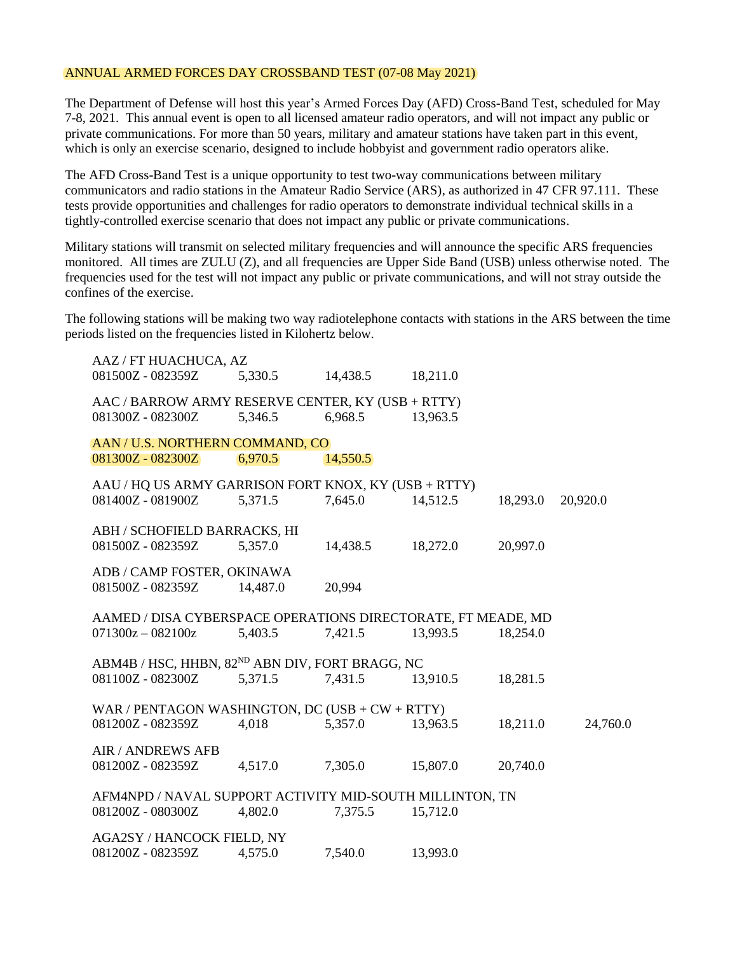## ANNUAL ARMED FORCES DAY CROSSBAND TEST (07-08 May 2021)

The Department of Defense will host this year's Armed Forces Day (AFD) Cross-Band Test, scheduled for May 7-8, 2021. This annual event is open to all licensed amateur radio operators, and will not impact any public or private communications. For more than 50 years, military and amateur stations have taken part in this event, which is only an exercise scenario, designed to include hobbyist and government radio operators alike.

The AFD Cross-Band Test is a unique opportunity to test two-way communications between military communicators and radio stations in the Amateur Radio Service (ARS), as authorized in 47 CFR 97.111. These tests provide opportunities and challenges for radio operators to demonstrate individual technical skills in a tightly-controlled exercise scenario that does not impact any public or private communications.

Military stations will transmit on selected military frequencies and will announce the specific ARS frequencies monitored. All times are ZULU (Z), and all frequencies are Upper Side Band (USB) unless otherwise noted. The frequencies used for the test will not impact any public or private communications, and will not stray outside the confines of the exercise.

The following stations will be making two way radiotelephone contacts with stations in the ARS between the time periods listed on the frequencies listed in Kilohertz below.

| AAZ / FT HUACHUCA, AZ                                                         |          |          |          |          |          |
|-------------------------------------------------------------------------------|----------|----------|----------|----------|----------|
| 081500Z - 082359Z                                                             | 5,330.5  | 14,438.5 | 18,211.0 |          |          |
| AAC / BARROW ARMY RESERVE CENTER, KY (USB + RTTY)                             |          |          |          |          |          |
| 081300Z - 082300Z                                                             | 5,346.5  | 6,968.5  | 13,963.5 |          |          |
| AAN / U.S. NORTHERN COMMAND, CO                                               |          |          |          |          |          |
| 081300Z - 082300Z                                                             | 6,970.5  | 14,550.5 |          |          |          |
| AAU / HQ US ARMY GARRISON FORT KNOX, KY (USB + RTTY)                          |          |          |          |          |          |
| 081400Z - 081900Z                                                             | 5,371.5  | 7,645.0  | 14,512.5 | 18,293.0 | 20,920.0 |
| ABH / SCHOFIELD BARRACKS, HI                                                  |          |          |          |          |          |
| 081500Z - 082359Z                                                             | 5,357.0  | 14,438.5 | 18,272.0 | 20,997.0 |          |
| ADB / CAMP FOSTER, OKINAWA                                                    |          |          |          |          |          |
| 081500Z - 082359Z                                                             | 14,487.0 | 20,994   |          |          |          |
|                                                                               |          |          |          |          |          |
| AAMED / DISA CYBERSPACE OPERATIONS DIRECTORATE, FT MEADE, MD                  |          |          |          |          |          |
| $071300z - 082100z$                                                           | 5,403.5  | 7,421.5  | 13,993.5 | 18,254.0 |          |
| ABM4B / HSC, HHBN, 82ND ABN DIV, FORT BRAGG, NC                               |          |          |          |          |          |
| 081100Z - 082300Z                                                             | 5,371.5  | 7,431.5  | 13,910.5 | 18,281.5 |          |
| WAR / PENTAGON WASHINGTON, DC (USB + $CW + RTTY$ )                            |          |          |          |          |          |
| 081200Z - 082359Z                                                             | 4,018    | 5,357.0  | 13,963.5 | 18,211.0 | 24,760.0 |
| <b>AIR / ANDREWS AFB</b>                                                      |          |          |          |          |          |
| 081200Z - 082359Z                                                             | 4,517.0  | 7,305.0  | 15,807.0 | 20,740.0 |          |
|                                                                               |          |          |          |          |          |
| AFM4NPD / NAVAL SUPPORT ACTIVITY MID-SOUTH MILLINTON, TN<br>081200Z - 080300Z | 4,802.0  | 7,375.5  | 15,712.0 |          |          |
|                                                                               |          |          |          |          |          |
| AGA2SY / HANCOCK FIELD, NY<br>081200Z - 082359Z                               | 4,575.0  | 7,540.0  | 13,993.0 |          |          |
|                                                                               |          |          |          |          |          |